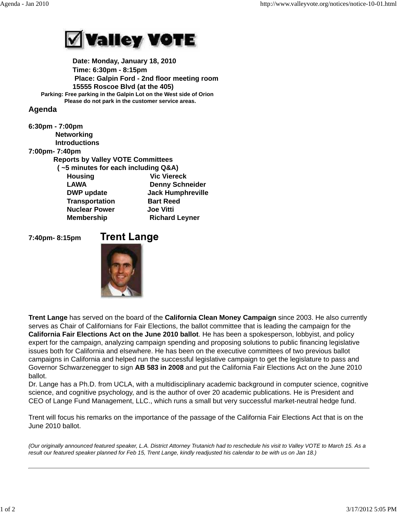

 **Date: Monday, January 18, 2010 Time: 6:30pm - 8:15pm Place: Galpin Ford - 2nd floor meeting room 15555 Roscoe Blvd (at the 405) Parking: Free parking in the Galpin Lot on the West side of Orion Please do not park in the customer service areas.**

## **Agenda**

| 6:30pm - 7:00pm                          |                          |
|------------------------------------------|--------------------------|
| <b>Networking</b>                        |                          |
| <b>Introductions</b>                     |                          |
| 7:00pm-7:40pm                            |                          |
| <b>Reports by Valley VOTE Committees</b> |                          |
| $($ ~5 minutes for each including Q&A)   |                          |
| <b>Housing</b>                           | <b>Vic Viereck</b>       |
| <b>LAWA</b>                              | <b>Denny Schneider</b>   |
| <b>DWP</b> update                        | <b>Jack Humphreville</b> |
| <b>Transportation</b>                    | <b>Bart Reed</b>         |
| <b>Nuclear Power</b>                     | <b>Joe Vitti</b>         |
| <b>Membership</b>                        | <b>Richard Leyner</b>    |

**7:40pm- 8:15pm** 

## **Trent Lange**



**Trent Lange** has served on the board of the **California Clean Money Campaign** since 2003. He also currently serves as Chair of Californians for Fair Elections, the ballot committee that is leading the campaign for the **California Fair Elections Act on the June 2010 ballot**. He has been a spokesperson, lobbyist, and policy expert for the campaign, analyzing campaign spending and proposing solutions to public financing legislative issues both for California and elsewhere. He has been on the executive committees of two previous ballot campaigns in California and helped run the successful legislative campaign to get the legislature to pass and Governor Schwarzenegger to sign **AB 583 in 2008** and put the California Fair Elections Act on the June 2010 ballot.

Dr. Lange has a Ph.D. from UCLA, with a multidisciplinary academic background in computer science, cognitive science, and cognitive psychology, and is the author of over 20 academic publications. He is President and CEO of Lange Fund Management, LLC., which runs a small but very successful market-neutral hedge fund.

Trent will focus his remarks on the importance of the passage of the California Fair Elections Act that is on the June 2010 ballot.

*(Our originally announced featured speaker, L.A. District Attorney Trutanich had to reschedule his visit to Valley VOTE to March 15. As a result our featured speaker planned for Feb 15, Trent Lange, kindly readjusted his calendar to be with us on Jan 18.)*